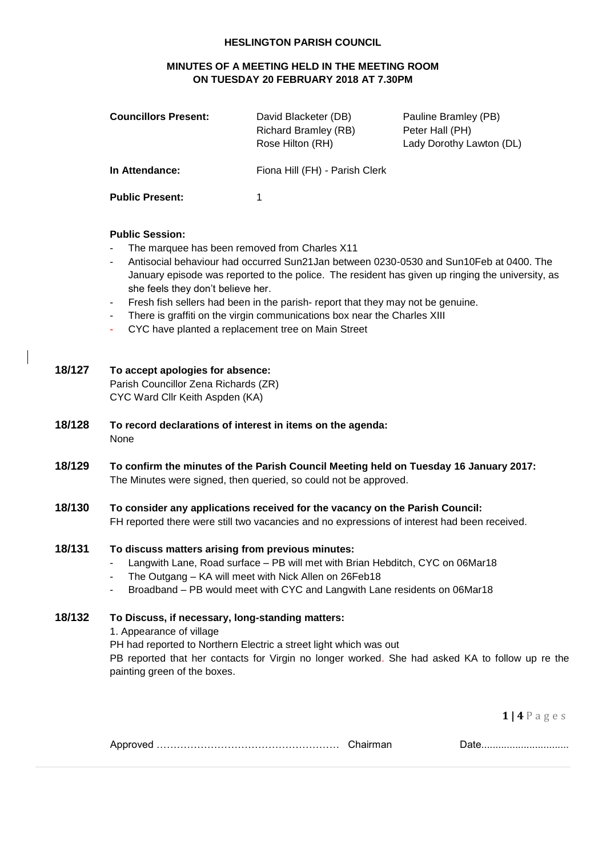#### **HESLINGTON PARISH COUNCIL**

## **MINUTES OF A MEETING HELD IN THE MEETING ROOM ON TUESDAY 20 FEBRUARY 2018 AT 7.30PM**

| <b>Councillors Present:</b> | David Blacketer (DB)<br><b>Richard Bramley (RB)</b><br>Rose Hilton (RH) | Pauline Bramley (PB)<br>Peter Hall (PH)<br>Lady Dorothy Lawton (DL) |
|-----------------------------|-------------------------------------------------------------------------|---------------------------------------------------------------------|
| In Attendance:              | Fiona Hill (FH) - Parish Clerk                                          |                                                                     |
| <b>Public Present:</b>      |                                                                         |                                                                     |

#### **Public Session:**

- The marquee has been removed from Charles X11
- Antisocial behaviour had occurred Sun21Jan between 0230-0530 and Sun10Feb at 0400. The January episode was reported to the police. The resident has given up ringing the university, as she feels they don't believe her.
- Fresh fish sellers had been in the parish- report that they may not be genuine.
- There is graffiti on the virgin communications box near the Charles XIII
- CYC have planted a replacement tree on Main Street

#### **18/127 To accept apologies for absence:**

Parish Councillor Zena Richards (ZR) CYC Ward Cllr Keith Aspden (KA)

- **18/128 To record declarations of interest in items on the agenda:** None
- **18/129 To confirm the minutes of the Parish Council Meeting held on Tuesday 16 January 2017:** The Minutes were signed, then queried, so could not be approved.
- **18/130 To consider any applications received for the vacancy on the Parish Council:** FH reported there were still two vacancies and no expressions of interest had been received.

#### **18/131 To discuss matters arising from previous minutes:**

- Langwith Lane, Road surface PB will met with Brian Hebditch, CYC on 06Mar18
- The Outgang KA will meet with Nick Allen on 26Feb18
- Broadband PB would meet with CYC and Langwith Lane residents on 06Mar18

#### **18/132 To Discuss, if necessary, long-standing matters:**

1. Appearance of village

PH had reported to Northern Electric a street light which was out

PB reported that her contacts for Virgin no longer worked. She had asked KA to follow up re the painting green of the boxes.

**1 | 4** P a g e s

|--|--|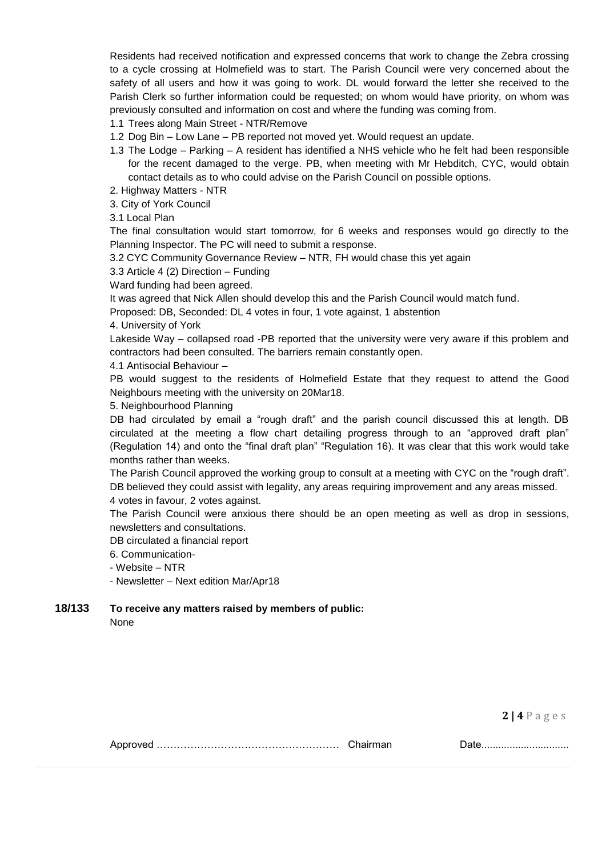Residents had received notification and expressed concerns that work to change the Zebra crossing to a cycle crossing at Holmefield was to start. The Parish Council were very concerned about the safety of all users and how it was going to work. DL would forward the letter she received to the Parish Clerk so further information could be requested; on whom would have priority, on whom was previously consulted and information on cost and where the funding was coming from.

1.1 Trees along Main Street - NTR/Remove

- 1.2 Dog Bin Low Lane PB reported not moved yet. Would request an update.
- 1.3 The Lodge Parking A resident has identified a NHS vehicle who he felt had been responsible for the recent damaged to the verge. PB, when meeting with Mr Hebditch, CYC, would obtain contact details as to who could advise on the Parish Council on possible options.
- 2. Highway Matters NTR
- 3. City of York Council
- 3.1 Local Plan

The final consultation would start tomorrow, for 6 weeks and responses would go directly to the Planning Inspector. The PC will need to submit a response.

3.2 CYC Community Governance Review – NTR, FH would chase this yet again

3.3 Article 4 (2) Direction – Funding

Ward funding had been agreed.

It was agreed that Nick Allen should develop this and the Parish Council would match fund.

Proposed: DB, Seconded: DL 4 votes in four, 1 vote against, 1 abstention

4. University of York

Lakeside Way – collapsed road -PB reported that the university were very aware if this problem and contractors had been consulted. The barriers remain constantly open.

4.1 Antisocial Behaviour –

PB would suggest to the residents of Holmefield Estate that they request to attend the Good Neighbours meeting with the university on 20Mar18.

#### 5. Neighbourhood Planning

DB had circulated by email a "rough draft" and the parish council discussed this at length. DB circulated at the meeting a flow chart detailing progress through to an "approved draft plan" (Regulation 14) and onto the "final draft plan" "Regulation 16). It was clear that this work would take months rather than weeks.

The Parish Council approved the working group to consult at a meeting with CYC on the "rough draft". DB believed they could assist with legality, any areas requiring improvement and any areas missed. 4 votes in favour, 2 votes against.

The Parish Council were anxious there should be an open meeting as well as drop in sessions, newsletters and consultations.

DB circulated a financial report

6. Communication-

- Website – NTR

- Newsletter – Next edition Mar/Apr18

# **18/133 To receive any matters raised by members of public:**

None

**2 | 4** P a g e s

Approved ……………………………………………… Chairman Date...............................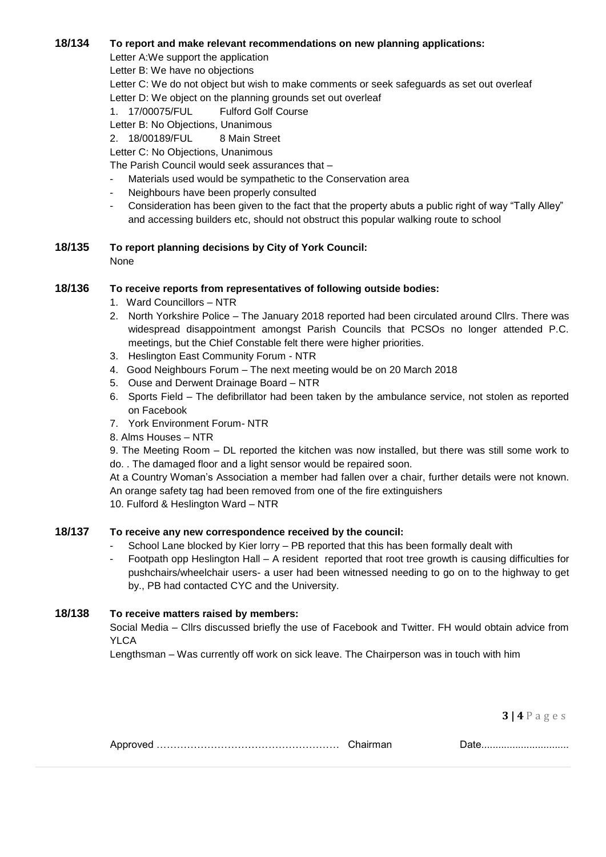#### **18/134 To report and make relevant recommendations on new planning applications:**

Letter A:We support the application

Letter B: We have no objections

Letter C: We do not object but wish to make comments or seek safeguards as set out overleaf Letter D: We object on the planning grounds set out overleaf

1. 17/00075/FUL Fulford Golf Course

Letter B: No Objections, Unanimous

2. 18/00189/FUL 8 Main Street

Letter C: No Objections, Unanimous

The Parish Council would seek assurances that –

- Materials used would be sympathetic to the Conservation area
- Neighbours have been properly consulted
- Consideration has been given to the fact that the property abuts a public right of way "Tally Alley" and accessing builders etc, should not obstruct this popular walking route to school

# **18/135 To report planning decisions by City of York Council:**

None

## **18/136 To receive reports from representatives of following outside bodies:**

- 1. Ward Councillors NTR
- 2. North Yorkshire Police The January 2018 reported had been circulated around Cllrs. There was widespread disappointment amongst Parish Councils that PCSOs no longer attended P.C. meetings, but the Chief Constable felt there were higher priorities.
- 3. Heslington East Community Forum NTR
- 4. Good Neighbours Forum The next meeting would be on 20 March 2018
- 5. Ouse and Derwent Drainage Board NTR
- 6. Sports Field The defibrillator had been taken by the ambulance service, not stolen as reported on Facebook
- 7. York Environment Forum- NTR
- 8. Alms Houses NTR

9. The Meeting Room – DL reported the kitchen was now installed, but there was still some work to do. . The damaged floor and a light sensor would be repaired soon.

At a Country Woman's Association a member had fallen over a chair, further details were not known. An orange safety tag had been removed from one of the fire extinguishers

10. Fulford & Heslington Ward – NTR

## **18/137 To receive any new correspondence received by the council:**

- School Lane blocked by Kier lorry PB reported that this has been formally dealt with
- Footpath opp Heslington Hall A resident reported that root tree growth is causing difficulties for pushchairs/wheelchair users- a user had been witnessed needing to go on to the highway to get by., PB had contacted CYC and the University.

## **18/138 To receive matters raised by members:**

Social Media – Cllrs discussed briefly the use of Facebook and Twitter. FH would obtain advice from YLCA

Lengthsman – Was currently off work on sick leave. The Chairperson was in touch with him

**3 | 4** P a g e s

|--|--|--|